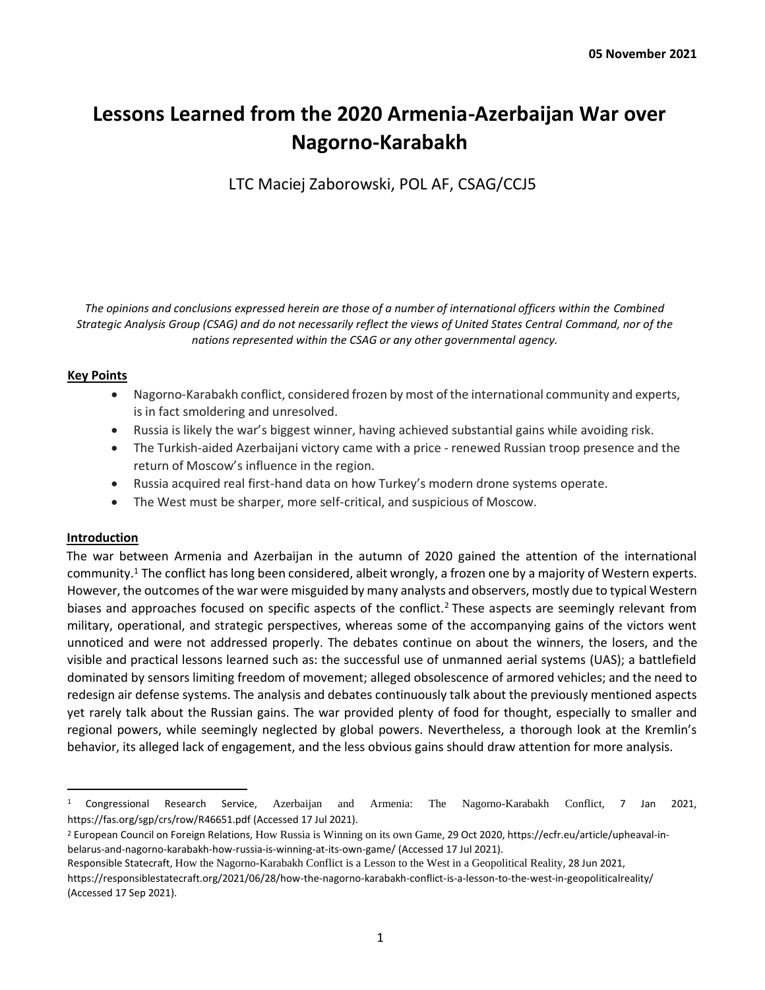# **Lessons Learned from the 2020 Armenia-Azerbaijan War over Nagorno-Karabakh**

LTC Maciej Zaborowski, POL AF, CSAG/CCJ5

*The opinions and conclusions expressed herein are those of a number of international officers within the Combined Strategic Analysis Group (CSAG) and do not necessarily reflect the views of United States Central Command, nor of the nations represented within the CSAG or any other governmental agency.*

### **Key Points**

- Nagorno-Karabakh conflict, considered frozen by most of the international community and experts, is in fact smoldering and unresolved.
- Russia is likely the war's biggest winner, having achieved substantial gains while avoiding risk.
- The Turkish-aided Azerbaijani victory came with a price renewed Russian troop presence and the return of Moscow's influence in the region.
- Russia acquired real first-hand data on how Turkey's modern drone systems operate.
- The West must be sharper, more self-critical, and suspicious of Moscow.

## **Introduction**

The war between Armenia and Azerbaijan in the autumn of 2020 gained the attention of the international community.<sup>1</sup> The conflict has long been considered, albeit wrongly, a frozen one by a majority of Western experts. However, the outcomes of the war were misguided by many analysts and observers, mostly due to typical Western biases and approaches focused on specific aspects of the conflict.<sup>2</sup> These aspects are seemingly relevant from military, operational, and strategic perspectives, whereas some of the accompanying gains of the victors went unnoticed and were not addressed properly. The debates continue on about the winners, the losers, and the visible and practical lessons learned such as: the successful use of unmanned aerial systems (UAS); a battlefield dominated by sensors limiting freedom of movement; alleged obsolescence of armored vehicles; and the need to redesign air defense systems. The analysis and debates continuously talk about the previously mentioned aspects yet rarely talk about the Russian gains. The war provided plenty of food for thought, especially to smaller and regional powers, while seemingly neglected by global powers. Nevertheless, a thorough look at the Kremlin's behavior, its alleged lack of engagement, and the less obvious gains should draw attention for more analysis.

<sup>1</sup> Congressional Research Service, Azerbaijan and Armenia: The Nagorno-Karabakh Conflict, 7 Jan 2021, https://fas.org/sgp/crs/row/R46651.pdf (Accessed 17 Jul 2021).

<sup>2</sup> European Council on Foreign Relations, How Russia is Winning on its own Game, 29 Oct 2020, https://ecfr.eu/article/upheaval-inbelarus-and-nagorno-karabakh-how-russia-is-winning-at-its-own-game/ (Accessed 17 Jul 2021).

Responsible Statecraft, How the Nagorno-Karabakh Conflict is a Lesson to the West in a Geopolitical Reality, 28 Jun 2021,

https://responsiblestatecraft.org/2021/06/28/how-the-nagorno-karabakh-conflict-is-a-lesson-to-the-west-in-geopoliticalreality/ (Accessed 17 Sep 2021).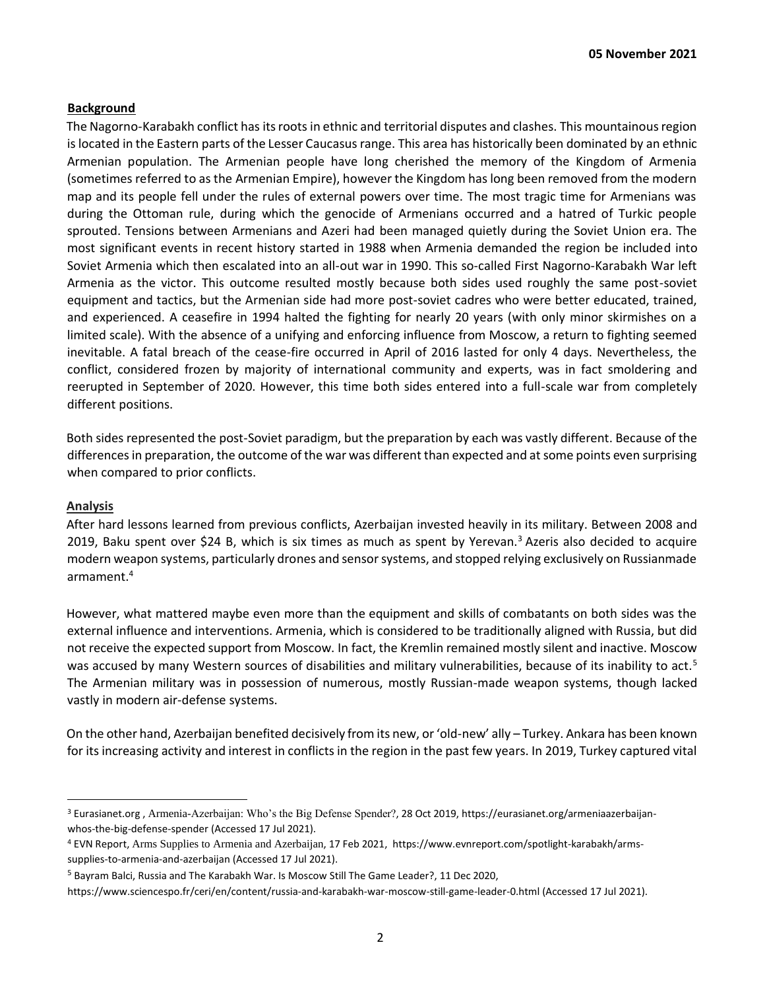### **Background**

The Nagorno-Karabakh conflict has its roots in ethnic and territorial disputes and clashes. This mountainous region is located in the Eastern parts of the Lesser Caucasus range. This area has historically been dominated by an ethnic Armenian population. The Armenian people have long cherished the memory of the Kingdom of Armenia (sometimes referred to as the Armenian Empire), however the Kingdom has long been removed from the modern map and its people fell under the rules of external powers over time. The most tragic time for Armenians was during the Ottoman rule, during which the genocide of Armenians occurred and a hatred of Turkic people sprouted. Tensions between Armenians and Azeri had been managed quietly during the Soviet Union era. The most significant events in recent history started in 1988 when Armenia demanded the region be included into Soviet Armenia which then escalated into an all-out war in 1990. This so-called First Nagorno-Karabakh War left Armenia as the victor. This outcome resulted mostly because both sides used roughly the same post-soviet equipment and tactics, but the Armenian side had more post-soviet cadres who were better educated, trained, and experienced. A ceasefire in 1994 halted the fighting for nearly 20 years (with only minor skirmishes on a limited scale). With the absence of a unifying and enforcing influence from Moscow, a return to fighting seemed inevitable. A fatal breach of the cease-fire occurred in April of 2016 lasted for only 4 days. Nevertheless, the conflict, considered frozen by majority of international community and experts, was in fact smoldering and reerupted in September of 2020. However, this time both sides entered into a full-scale war from completely different positions.

Both sides represented the post-Soviet paradigm, but the preparation by each was vastly different. Because of the differences in preparation, the outcome of the war was different than expected and at some points even surprising when compared to prior conflicts.

#### **Analysis**

After hard lessons learned from previous conflicts, Azerbaijan invested heavily in its military. Between 2008 and 2019, Baku spent over \$24 B, which is six times as much as spent by Yerevan.<sup>3</sup> Azeris also decided to acquire modern weapon systems, particularly drones and sensor systems, and stopped relying exclusively on Russianmade armament.<sup>4</sup>

However, what mattered maybe even more than the equipment and skills of combatants on both sides was the external influence and interventions. Armenia, which is considered to be traditionally aligned with Russia, but did not receive the expected support from Moscow. In fact, the Kremlin remained mostly silent and inactive. Moscow was accused by many Western sources of disabilities and military vulnerabilities, because of its inability to act.<sup>5</sup> The Armenian military was in possession of numerous, mostly Russian-made weapon systems, though lacked vastly in modern air-defense systems.

On the other hand, Azerbaijan benefited decisively from its new, or 'old-new' ally – Turkey. Ankara has been known for its increasing activity and interest in conflicts in the region in the past few years. In 2019, Turkey captured vital

<sup>3</sup> Eurasianet.org , Armenia-Azerbaijan: Who's the Big Defense Spender?, 28 Oct 2019, https://eurasianet.org/armeniaazerbaijanwhos-the-big-defense-spender (Accessed 17 Jul 2021).

<sup>4</sup> EVN Report, Arms Supplies to Armenia and Azerbaijan, 17 Feb 2021, https://www.evnreport.com/spotlight-karabakh/armssupplies-to-armenia-and-azerbaijan (Accessed 17 Jul 2021).

<sup>5</sup> Bayram Balci, Russia and The Karabakh War. Is Moscow Still The Game Leader?, 11 Dec 2020,

https://www.sciencespo.fr/ceri/en/content/russia-and-karabakh-war-moscow-still-game-leader-0.html (Accessed 17 Jul 2021).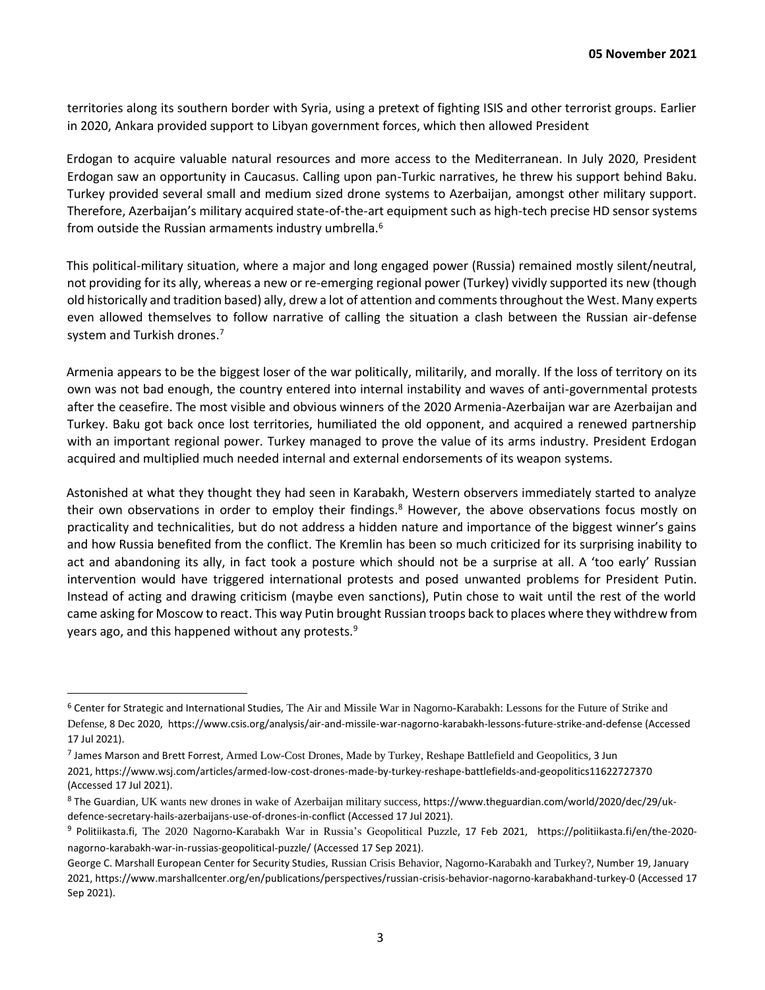territories along its southern border with Syria, using a pretext of fighting ISIS and other terrorist groups. Earlier in 2020, Ankara provided support to Libyan government forces, which then allowed President

Erdogan to acquire valuable natural resources and more access to the Mediterranean. In July 2020, President Erdogan saw an opportunity in Caucasus. Calling upon pan-Turkic narratives, he threw his support behind Baku. Turkey provided several small and medium sized drone systems to Azerbaijan, amongst other military support. Therefore, Azerbaijan's military acquired state-of-the-art equipment such as high-tech precise HD sensor systems from outside the Russian armaments industry umbrella.<sup>6</sup>

This political-military situation, where a major and long engaged power (Russia) remained mostly silent/neutral, not providing for its ally, whereas a new or re-emerging regional power (Turkey) vividly supported its new (though old historically and tradition based) ally, drew a lot of attention and comments throughout the West. Many experts even allowed themselves to follow narrative of calling the situation a clash between the Russian air-defense system and Turkish drones.<sup>7</sup>

Armenia appears to be the biggest loser of the war politically, militarily, and morally. If the loss of territory on its own was not bad enough, the country entered into internal instability and waves of anti-governmental protests after the ceasefire. The most visible and obvious winners of the 2020 Armenia-Azerbaijan war are Azerbaijan and Turkey. Baku got back once lost territories, humiliated the old opponent, and acquired a renewed partnership with an important regional power. Turkey managed to prove the value of its arms industry. President Erdogan acquired and multiplied much needed internal and external endorsements of its weapon systems.

Astonished at what they thought they had seen in Karabakh, Western observers immediately started to analyze their own observations in order to employ their findings.<sup>8</sup> However, the above observations focus mostly on practicality and technicalities, but do not address a hidden nature and importance of the biggest winner's gains and how Russia benefited from the conflict. The Kremlin has been so much criticized for its surprising inability to act and abandoning its ally, in fact took a posture which should not be a surprise at all. A 'too early' Russian intervention would have triggered international protests and posed unwanted problems for President Putin. Instead of acting and drawing criticism (maybe even sanctions), Putin chose to wait until the rest of the world came asking for Moscow to react. This way Putin brought Russian troops back to places where they withdrew from years ago, and this happened without any protests.<sup>9</sup>

<sup>6</sup> Center for Strategic and International Studies, The Air and Missile War in Nagorno-Karabakh: Lessons for the Future of Strike and Defense, 8 Dec 2020, https://www.csis.org/analysis/air-and-missile-war-nagorno-karabakh-lessons-future-strike-and-defense (Accessed 17 Jul 2021).

<sup>7</sup> James Marson and Brett Forrest, Armed Low-Cost Drones, Made by Turkey, Reshape Battlefield and Geopolitics, 3 Jun 2021, https://www.wsj.com/articles/armed-low-cost-drones-made-by-turkey-reshape-battlefields-and-geopolitics11622727370 (Accessed 17 Jul 2021).

<sup>8</sup> The Guardian, UK wants new drones in wake of Azerbaijan military success, https://www.theguardian.com/world/2020/dec/29/ukdefence-secretary-hails-azerbaijans-use-of-drones-in-conflict (Accessed 17 Jul 2021).

<sup>9</sup> Politiikasta.fi, The 2020 Nagorno-Karabakh War in Russia's Geopolitical Puzzle, 17 Feb 2021, https://politiikasta.fi/en/the-2020 nagorno-karabakh-war-in-russias-geopolitical-puzzle/ (Accessed 17 Sep 2021).

George C. Marshall European Center for Security Studies, Russian Crisis Behavior, Nagorno-Karabakh and Turkey?, Number 19, January 2021, https://www.marshallcenter.org/en/publications/perspectives/russian-crisis-behavior-nagorno-karabakhand-turkey-0 (Accessed 17 Sep 2021).